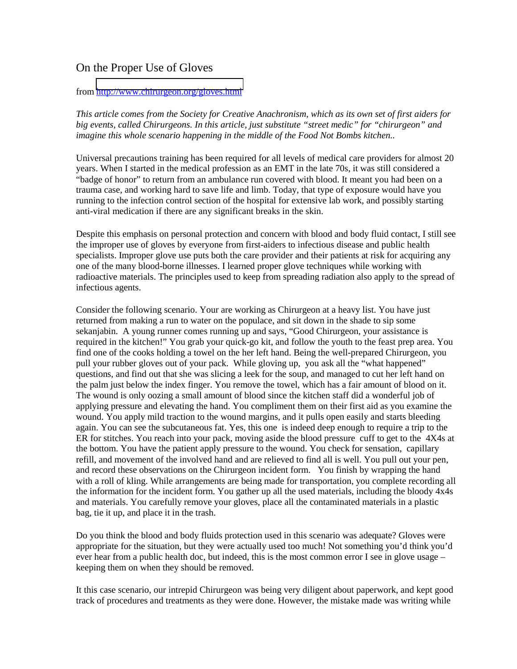## On the Proper Use of Gloves

## from<http://www.chirurgeon.org/gloves.html>

*This article comes from the Society for Creative Anachronism, which as its own set of first aiders for big events, called Chirurgeons. In this article, just substitute "street medic" for "chirurgeon" and imagine this whole scenario happening in the middle of the Food Not Bombs kitchen..* 

Universal precautions training has been required for all levels of medical care providers for almost 20 years. When I started in the medical profession as an EMT in the late 70s, it was still considered a "badge of honor" to return from an ambulance run covered with blood. It meant you had been on a trauma case, and working hard to save life and limb. Today, that type of exposure would have you running to the infection control section of the hospital for extensive lab work, and possibly starting anti-viral medication if there are any significant breaks in the skin.

Despite this emphasis on personal protection and concern with blood and body fluid contact, I still see the improper use of gloves by everyone from first-aiders to infectious disease and public health specialists. Improper glove use puts both the care provider and their patients at risk for acquiring any one of the many blood-borne illnesses. I learned proper glove techniques while working with radioactive materials. The principles used to keep from spreading radiation also apply to the spread of infectious agents.

Consider the following scenario. Your are working as Chirurgeon at a heavy list. You have just returned from making a run to water on the populace, and sit down in the shade to sip some sekanjabin. A young runner comes running up and says, "Good Chirurgeon, your assistance is required in the kitchen!" You grab your quick-go kit, and follow the youth to the feast prep area. You find one of the cooks holding a towel on the her left hand. Being the well-prepared Chirurgeon, you pull your rubber gloves out of your pack. While gloving up, you ask all the "what happened" questions, and find out that she was slicing a leek for the soup, and managed to cut her left hand on the palm just below the index finger. You remove the towel, which has a fair amount of blood on it. The wound is only oozing a small amount of blood since the kitchen staff did a wonderful job of applying pressure and elevating the hand. You compliment them on their first aid as you examine the wound. You apply mild traction to the wound margins, and it pulls open easily and starts bleeding again. You can see the subcutaneous fat. Yes, this one is indeed deep enough to require a trip to the ER for stitches. You reach into your pack, moving aside the blood pressure cuff to get to the 4X4s at the bottom. You have the patient apply pressure to the wound. You check for sensation, capillary refill, and movement of the involved hand and are relieved to find all is well. You pull out your pen, and record these observations on the Chirurgeon incident form. You finish by wrapping the hand with a roll of kling. While arrangements are being made for transportation, you complete recording all the information for the incident form. You gather up all the used materials, including the bloody 4x4s and materials. You carefully remove your gloves, place all the contaminated materials in a plastic bag, tie it up, and place it in the trash.

Do you think the blood and body fluids protection used in this scenario was adequate? Gloves were appropriate for the situation, but they were actually used too much! Not something you'd think you'd ever hear from a public health doc, but indeed, this is the most common error I see in glove usage – keeping them on when they should be removed.

It this case scenario, our intrepid Chirurgeon was being very diligent about paperwork, and kept good track of procedures and treatments as they were done. However, the mistake made was writing while